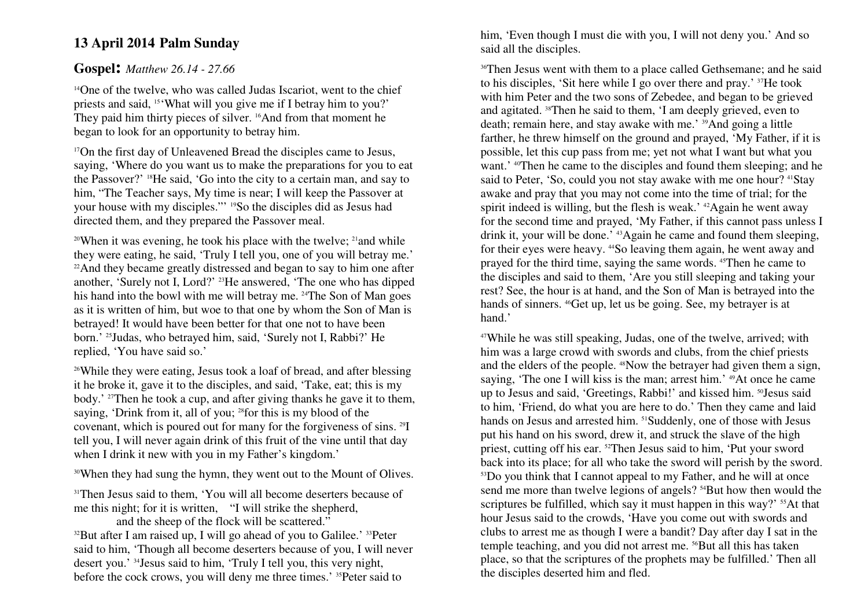## **13 April 2014 Palm Sunday**

## **Gospel:** *Matthew 26.14 - 27.66*

<sup>14</sup>One of the twelve, who was called Judas Iscariot, went to the chief priests and said, 15'What will you give me if I betray him to you?' They paid him thirty pieces of silver. <sup>16</sup>And from that moment he began to look for an opportunity to betray him.

<sup>17</sup>On the first day of Unleavened Bread the disciples came to Jesus, saying, 'Where do you want us to make the preparations for you to eat the Passover?' 18He said, 'Go into the city to a certain man, and say to him, "The Teacher says, My time is near; I will keep the Passover at your house with my disciples."' 19So the disciples did as Jesus had directed them, and they prepared the Passover meal.

<sup>20</sup>When it was evening, he took his place with the twelve; <sup>21</sup> and while they were eating, he said, 'Truly I tell you, one of you will betray me.' <sup>22</sup>And they became greatly distressed and began to say to him one after another, 'Surely not I, Lord?' <sup>23</sup>He answered, 'The one who has dipped his hand into the bowl with me will betray me. <sup>24</sup>The Son of Man goes as it is written of him, but woe to that one by whom the Son of Man is betrayed! It would have been better for that one not to have been born.' <sup>25</sup>Judas, who betrayed him, said, 'Surely not I, Rabbi?' He replied, 'You have said so.'

<sup>26</sup>While they were eating, Jesus took a loaf of bread, and after blessing it he broke it, gave it to the disciples, and said, 'Take, eat; this is my body.' <sup>27</sup>Then he took a cup, and after giving thanks he gave it to them, saying, 'Drink from it, all of you; <sup>28</sup>for this is my blood of the covenant, which is poured out for many for the forgiveness of sins. <sup>29</sup>I tell you, I will never again drink of this fruit of the vine until that day when I drink it new with you in my Father's kingdom.'

<sup>30</sup>When they had sung the hymn, they went out to the Mount of Olives.

<sup>31</sup>Then Jesus said to them, 'You will all become deserters because of me this night; for it is written, "I will strike the shepherd, and the sheep of the flock will be scattered."

<sup>32</sup>But after I am raised up, I will go ahead of you to Galilee.' <sup>33</sup>Peter said to him, 'Though all become deserters because of you, I will never desert you.' 34Jesus said to him, 'Truly I tell you, this very night, before the cock crows, you will deny me three times.' <sup>35</sup>Peter said to

him, 'Even though I must die with you, I will not deny you.' And so said all the disciples.

<sup>36</sup>Then Jesus went with them to a place called Gethsemane; and he said to his disciples, 'Sit here while I go over there and pray.' 37He took with him Peter and the two sons of Zebedee, and began to be grieved and agitated. 38Then he said to them, 'I am deeply grieved, even to death; remain here, and stay awake with me.' 39And going a little farther, he threw himself on the ground and prayed, 'My Father, if it is possible, let this cup pass from me; yet not what I want but what you want.' <sup>40</sup>Then he came to the disciples and found them sleeping; and he said to Peter, 'So, could you not stay awake with me one hour? <sup>41</sup>Stay awake and pray that you may not come into the time of trial; for the spirit indeed is willing, but the flesh is weak.' <sup>42</sup>Again he went away for the second time and prayed, 'My Father, if this cannot pass unless I drink it, your will be done.' 43Again he came and found them sleeping, for their eyes were heavy. 44So leaving them again, he went away and prayed for the third time, saying the same words. 45Then he came to the disciples and said to them, 'Are you still sleeping and taking your rest? See, the hour is at hand, and the Son of Man is betrayed into the hands of sinners. <sup>46</sup>Get up, let us be going. See, my betrayer is at hand.'

47While he was still speaking, Judas, one of the twelve, arrived; with him was a large crowd with swords and clubs, from the chief priests and the elders of the people. <sup>48</sup>Now the betrayer had given them a sign, saying, 'The one I will kiss is the man; arrest him.' <sup>49</sup>At once he came up to Jesus and said, 'Greetings, Rabbi!' and kissed him. <sup>50</sup>Jesus said to him, 'Friend, do what you are here to do.' Then they came and laid hands on Jesus and arrested him. <sup>51</sup>Suddenly, one of those with Jesus put his hand on his sword, drew it, and struck the slave of the high priest, cutting off his ear. <sup>52</sup>Then Jesus said to him, 'Put your sword back into its place; for all who take the sword will perish by the sword. <sup>53</sup>Do you think that I cannot appeal to my Father, and he will at once send me more than twelve legions of angels? <sup>54</sup>But how then would the scriptures be fulfilled, which say it must happen in this way?' <sup>55</sup>At that hour Jesus said to the crowds, 'Have you come out with swords and clubs to arrest me as though I were a bandit? Day after day I sat in the temple teaching, and you did not arrest me. 56But all this has taken place, so that the scriptures of the prophets may be fulfilled.' Then all the disciples deserted him and fled.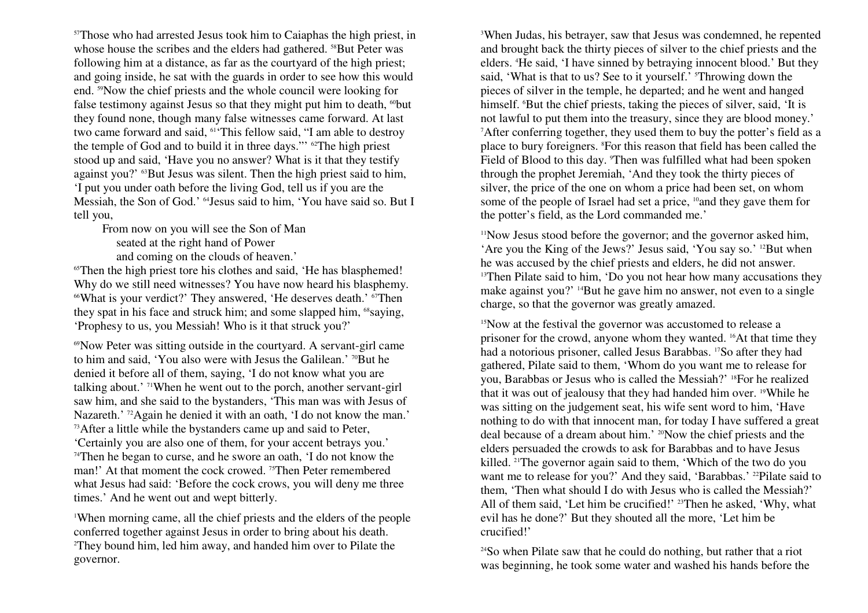<sup>57</sup>Those who had arrested Jesus took him to Caiaphas the high priest, in whose house the scribes and the elders had gathered. <sup>58</sup>But Peter was following him at a distance, as far as the courtyard of the high priest; and going inside, he sat with the guards in order to see how this would end. 59Now the chief priests and the whole council were looking for false testimony against Jesus so that they might put him to death,  $60$  but they found none, though many false witnesses came forward. At last two came forward and said, <sup>61</sup> 'This fellow said, "I am able to destroy the temple of God and to build it in three days."' 62The high priest stood up and said, 'Have you no answer? What is it that they testify against you?' <sup>63</sup>But Jesus was silent. Then the high priest said to him, 'I put you under oath before the living God, tell us if you are the Messiah, the Son of God.' <sup>64</sup>Jesus said to him, 'You have said so. But I tell you,

 From now on you will see the Son of Man seated at the right hand of Power and coming on the clouds of heaven.'

<sup>65</sup>Then the high priest tore his clothes and said, 'He has blasphemed! Why do we still need witnesses? You have now heard his blasphemy. 66What is your verdict?' They answered, 'He deserves death.' 67Then they spat in his face and struck him; and some slapped him, <sup>68</sup>saying, 'Prophesy to us, you Messiah! Who is it that struck you?'

69Now Peter was sitting outside in the courtyard. A servant-girl came to him and said, 'You also were with Jesus the Galilean.' 70But he denied it before all of them, saying, 'I do not know what you are talking about.' 71When he went out to the porch, another servant-girl saw him, and she said to the bystanders, 'This man was with Jesus of Nazareth.' <sup>72</sup>Again he denied it with an oath, 'I do not know the man.' <sup>73</sup>After a little while the bystanders came up and said to Peter, 'Certainly you are also one of them, for your accent betrays you.' 74Then he began to curse, and he swore an oath, 'I do not know the man!' At that moment the cock crowed.<sup>75</sup>Then Peter remembered what Jesus had said: 'Before the cock crows, you will deny me three times.' And he went out and wept bitterly.

1When morning came, all the chief priests and the elders of the people conferred together against Jesus in order to bring about his death. 2They bound him, led him away, and handed him over to Pilate the governor.

3When Judas, his betrayer, saw that Jesus was condemned, he repented and brought back the thirty pieces of silver to the chief priests and the elders. 4He said, 'I have sinned by betraying innocent blood.' But they said, 'What is that to us? See to it yourself.' <sup>5</sup>Throwing down the pieces of silver in the temple, he departed; and he went and hanged himself. <sup>6</sup>But the chief priests, taking the pieces of silver, said, 'It is not lawful to put them into the treasury, since they are blood money.' <sup>7</sup>After conferring together, they used them to buy the potter's field as a place to bury foreigners. 8For this reason that field has been called the Field of Blood to this day. 'Then was fulfilled what had been spoken through the prophet Jeremiah, 'And they took the thirty pieces of silver, the price of the one on whom a price had been set, on whom some of the people of Israel had set a price, <sup>10</sup>and they gave them for the potter's field, as the Lord commanded me.'

 $11$ Now Jesus stood before the governor; and the governor asked him, 'Are you the King of the Jews?' Jesus said, 'You say so.' <sup>12</sup>But when he was accused by the chief priests and elders, he did not answer. <sup>13</sup>Then Pilate said to him, 'Do you not hear how many accusations they make against you?' 14But he gave him no answer, not even to a single charge, so that the governor was greatly amazed.

15Now at the festival the governor was accustomed to release a prisoner for the crowd, anyone whom they wanted. 16At that time they had a notorious prisoner, called Jesus Barabbas. <sup>17</sup>So after they had gathered, Pilate said to them, 'Whom do you want me to release for you, Barabbas or Jesus who is called the Messiah?' 18For he realized that it was out of jealousy that they had handed him over. 19While he was sitting on the judgement seat, his wife sent word to him, 'Have nothing to do with that innocent man, for today I have suffered a great deal because of a dream about him.' 20Now the chief priests and the elders persuaded the crowds to ask for Barabbas and to have Jesus killed. <sup>21</sup>The governor again said to them, 'Which of the two do you want me to release for you?' And they said, 'Barabbas.' <sup>22</sup>Pilate said to them, 'Then what should I do with Jesus who is called the Messiah?' All of them said, 'Let him be crucified!' <sup>23</sup>Then he asked, 'Why, what evil has he done?' But they shouted all the more, 'Let him be crucified!'

24So when Pilate saw that he could do nothing, but rather that a riot was beginning, he took some water and washed his hands before the